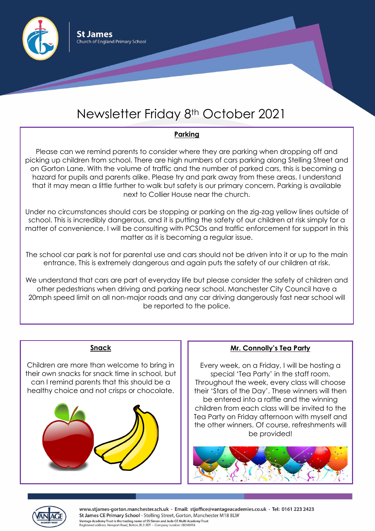

# Newsletter Friday 8th October 2021

## **Parking**

Please can we remind parents to consider where they are parking when dropping off and picking up children from school. There are high numbers of cars parking along Stelling Street and on Gorton Lane. With the volume of traffic and the number of parked cars, this is becoming a hazard for pupils and parents alike. Please try and park away from these areas. I understand that it may mean a little further to walk but safety is our primary concern. Parking is available next to Collier House near the church.

Under no circumstances should cars be stopping or parking on the zig-zag yellow lines outside of school. This is incredibly dangerous, and it is putting the safety of our children at risk simply for a matter of convenience. I will be consulting with PCSOs and traffic enforcement for support in this matter as it is becoming a regular issue.

The school car park is not for parental use and cars should not be driven into it or up to the main entrance. This is extremely dangerous and again puts the safety of our children at risk.

We understand that cars are part of everyday life but please consider the safety of children and other pedestrians when driving and parking near school. Manchester City Council have a 20mph speed limit on all non-major roads and any car driving dangerously fast near school will be reported to the police.

## **Snack**

Children are more than welcome to bring in their own snacks for snack time in school, but can I remind parents that this should be a healthy choice and not crisps or chocolate.



#### **Mr. Connolly's Tea Party**

Every week, on a Friday, I will be hosting a special 'Tea Party' in the staff room. Throughout the week, every class will choose their 'Stars of the Day'. These winners will then be entered into a raffle and the winning children from each class will be invited to the Tea Party on Friday afternoon with myself and the other winners. Of course, refreshments will be provided!





www.stjames-gorton.manchester.sch.uk - Email: stjoffice@vantageacademies.co.uk - Tel: 0161 223 2423 St James CE Primary School - Stelling Street, Gorton, Manchester M18 8LW Vantage Academy Trust is the trading name of SS Simon and Jude CE Multi Academy Trust Registered address: Newport Road, Bolton, BL3 3DT - Company number: 08240918